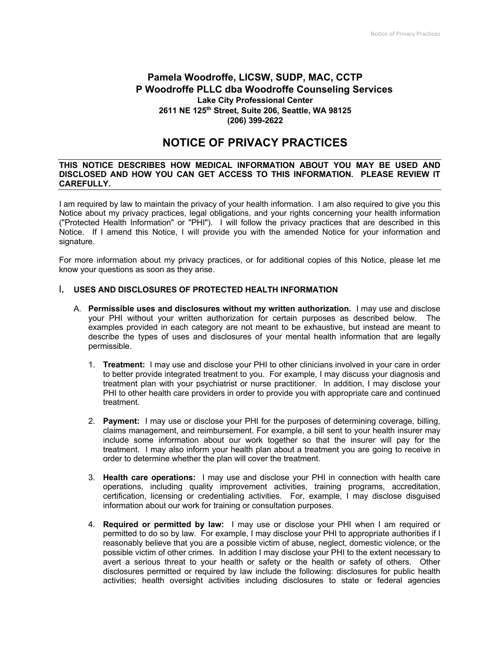# **Pamela Woodroffe, LICSW, SUDP, MAC, CCTP P Woodroffe PLLC dba Woodroffe Counseling Services Lake City Professional Center 2611 NE 125th Street, Suite 206, Seattle, WA 98125 (206) 399-2622**

# **NOTICE OF PRIVACY PRACTICES**

#### **THIS NOTICE DESCRIBES HOW MEDICAL INFORMATION ABOUT YOU MAY BE USED AND DISCLOSED AND HOW YOU CAN GET ACCESS TO THIS INFORMATION. PLEASE REVIEW IT CAREFULLY.**

I am required by law to maintain the privacy of your health information. I am also required to give you this Notice about my privacy practices, legal obligations, and your rights concerning your health information ("Protected Health Information" or "PHI"). I will follow the privacy practices that are described in this Notice. If I amend this Notice, I will provide you with the amended Notice for your information and signature.

For more information about my privacy practices, or for additional copies of this Notice, please let me know your questions as soon as they arise.

### **I. USES AND DISCLOSURES OF PROTECTED HEALTH INFORMATION**

- A. **Permissible uses and disclosures without my written authorization.** I may use and disclose your PHI without your written authorization for certain purposes as described below. The examples provided in each category are not meant to be exhaustive, but instead are meant to describe the types of uses and disclosures of your mental health information that are legally permissible.
	- 1. **Treatment:** I may use and disclose your PHI to other clinicians involved in your care in order to better provide integrated treatment to you. For example, I may discuss your diagnosis and treatment plan with your psychiatrist or nurse practitioner. In addition, I may disclose your PHI to other health care providers in order to provide you with appropriate care and continued treatment.
	- 2. **Payment:** I may use or disclose your PHI for the purposes of determining coverage, billing, claims management, and reimbursement. For example, a bill sent to your health insurer may include some information about our work together so that the insurer will pay for the treatment. I may also inform your health plan about a treatment you are going to receive in order to determine whether the plan will cover the treatment.
	- 3. **Health care operations:** I may use and disclose your PHI in connection with health care operations, including quality improvement activities, training programs, accreditation, certification, licensing or credentialing activities. For, example, I may disclose disguised information about our work for training or consultation purposes.
	- 4. **Required or permitted by law:** I may use or disclose your PHI when I am required or permitted to do so by law. For example, I may disclose your PHI to appropriate authorities if I reasonably believe that you are a possible victim of abuse, neglect, domestic violence, or the possible victim of other crimes. In addition I may disclose your PHI to the extent necessary to avert a serious threat to your health or safety or the health or safety of others. Other disclosures permitted or required by law include the following: disclosures for public health activities; health oversight activities including disclosures to state or federal agencies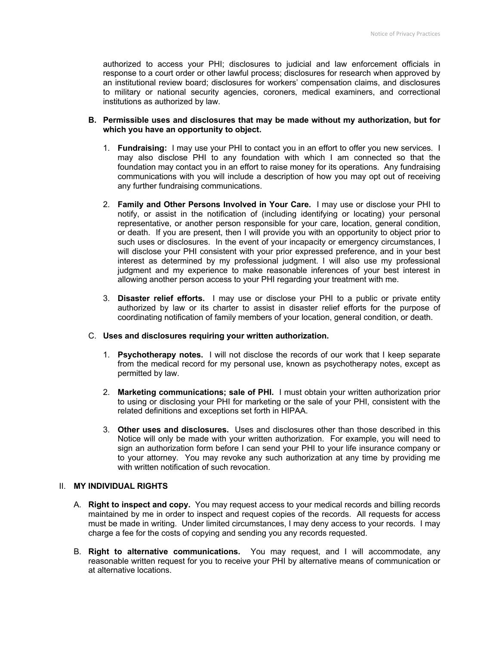authorized to access your PHI; disclosures to judicial and law enforcement officials in response to a court order or other lawful process; disclosures for research when approved by an institutional review board; disclosures for workers' compensation claims, and disclosures to military or national security agencies, coroners, medical examiners, and correctional institutions as authorized by law.

#### **B. Permissible uses and disclosures that may be made without my authorization, but for which you have an opportunity to object.**

- 1. **Fundraising:** I may use your PHI to contact you in an effort to offer you new services. I may also disclose PHI to any foundation with which I am connected so that the foundation may contact you in an effort to raise money for its operations. Any fundraising communications with you will include a description of how you may opt out of receiving any further fundraising communications.
- 2. **Family and Other Persons Involved in Your Care.** I may use or disclose your PHI to notify, or assist in the notification of (including identifying or locating) your personal representative, or another person responsible for your care, location, general condition, or death. If you are present, then I will provide you with an opportunity to object prior to such uses or disclosures. In the event of your incapacity or emergency circumstances, I will disclose your PHI consistent with your prior expressed preference, and in your best interest as determined by my professional judgment. I will also use my professional judgment and my experience to make reasonable inferences of your best interest in allowing another person access to your PHI regarding your treatment with me.
- 3. **Disaster relief efforts.** I may use or disclose your PHI to a public or private entity authorized by law or its charter to assist in disaster relief efforts for the purpose of coordinating notification of family members of your location, general condition, or death.

## C. **Uses and disclosures requiring your written authorization.**

- 1. **Psychotherapy notes.** I will not disclose the records of our work that I keep separate from the medical record for my personal use, known as psychotherapy notes, except as permitted by law.
- 2. **Marketing communications; sale of PHI.** I must obtain your written authorization prior to using or disclosing your PHI for marketing or the sale of your PHI, consistent with the related definitions and exceptions set forth in HIPAA.
- 3. **Other uses and disclosures.** Uses and disclosures other than those described in this Notice will only be made with your written authorization. For example, you will need to sign an authorization form before I can send your PHI to your life insurance company or to your attorney. You may revoke any such authorization at any time by providing me with written notification of such revocation.

### II. **MY INDIVIDUAL RIGHTS**

- A. **Right to inspect and copy.** You may request access to your medical records and billing records maintained by me in order to inspect and request copies of the records. All requests for access must be made in writing. Under limited circumstances, I may deny access to your records. I may charge a fee for the costs of copying and sending you any records requested.
- B. **Right to alternative communications.** You may request, and I will accommodate, any reasonable written request for you to receive your PHI by alternative means of communication or at alternative locations.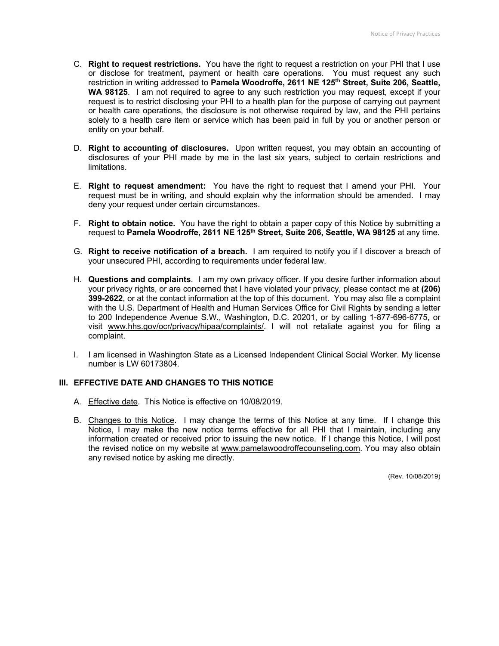- C. **Right to request restrictions.** You have the right to request a restriction on your PHI that I use or disclose for treatment, payment or health care operations. You must request any such restriction in writing addressed to **Pamela Woodroffe, 2611 NE 125th Street, Suite 206, Seattle,**  WA 98125. I am not required to agree to any such restriction you may request, except if your request is to restrict disclosing your PHI to a health plan for the purpose of carrying out payment or health care operations, the disclosure is not otherwise required by law, and the PHI pertains solely to a health care item or service which has been paid in full by you or another person or entity on your behalf.
- D. **Right to accounting of disclosures.** Upon written request, you may obtain an accounting of disclosures of your PHI made by me in the last six years, subject to certain restrictions and limitations.
- E. **Right to request amendment:** You have the right to request that I amend your PHI. Your request must be in writing, and should explain why the information should be amended. I may deny your request under certain circumstances.
- F. **Right to obtain notice.** You have the right to obtain a paper copy of this Notice by submitting a request to **Pamela Woodroffe, 2611 NE 125th Street, Suite 206, Seattle, WA 98125** at any time.
- G. **Right to receive notification of a breach.** I am required to notify you if I discover a breach of your unsecured PHI, according to requirements under federal law.
- H. **Questions and complaints**. I am my own privacy officer. If you desire further information about your privacy rights, or are concerned that I have violated your privacy, please contact me at **(206) 399-2622**, or at the contact information at the top of this document. You may also file a complaint with the U.S. Department of Health and Human Services Office for Civil Rights by sending a letter to 200 Independence Avenue S.W., Washington, D.C. 20201, or by calling 1-877-696-6775, or visit www.hhs.gov/ocr/privacy/hipaa/complaints/. I will not retaliate against you for filing a complaint.
- I. I am licensed in Washington State as a Licensed Independent Clinical Social Worker. My license number is LW 60173804.

### **III. EFFECTIVE DATE AND CHANGES TO THIS NOTICE**

- A. Effective date. This Notice is effective on 10/08/2019.
- B. Changes to this Notice. I may change the terms of this Notice at any time. If I change this Notice, I may make the new notice terms effective for all PHI that I maintain, including any information created or received prior to issuing the new notice. If I change this Notice, I will post the revised notice on my website at www.pamelawoodroffecounseling.com. You may also obtain any revised notice by asking me directly.

(Rev. 10/08/2019)